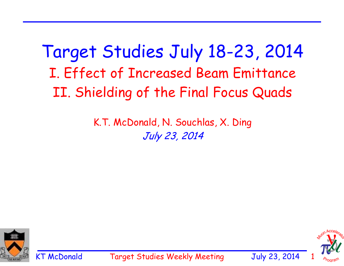Target Studies July 18-23, 2014 I. Effect of Increased Beam Emittance II. Shielding of the Final Focus Quads

> K.T. McDonald, N. Souchlas, X. Ding July 23, 2014





KT McDonald Target Studies Weekly Meeting July 23, 2014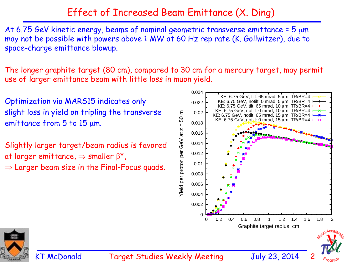# Effect of Increased Beam Emittance (X. Ding)

At 6.75 GeV kinetic energy, beams of nominal geometric transverse emittance =  $5 \mu m$ may not be possible with powers above 1 MW at 60 Hz rep rate (K. Gollwitzer), due to space-charge emittance blowup.

The longer graphite target (80 cm), compared to 30 cm for a mercury target, may permit use of larger emittance beam with little loss in muon yield.

Optimization via MARS15 indicates only slight loss in yield on tripling the transverse emittance from  $5$  to  $15 \mu m$ .

Slightly larger target/beam radius is favored at larger emittance,  $\Rightarrow$  smaller  $\beta^*$ ,  $\Rightarrow$  Larger beam size in the Final-Focus quads.





KT McDonald Target Studies Weekly Meeting July 23, 201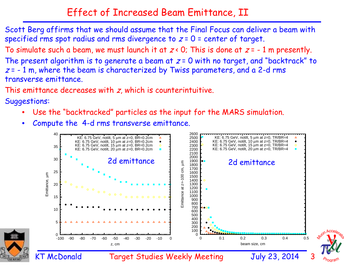## Effect of Increased Beam Emittance, II

Scott Berg affirms that we should assume that the Final Focus can deliver a beam with specified rms spot radius and rms divergence to  $z = 0$  = center of target.

To simulate such a beam, we must launch it at  $z < 0$ ; This is done at  $z = -1$  m presently.

The present algorithm is to generate a beam at  $z = 0$  with no target, and "backtrack" to  $z = -1$  m, where the beam is characterized by Twiss parameters, and a 2-d rms transverse emittance.

This emittance decreases with z, which is counterintuitive.

Suggestions:

- •Use the "backtracked" particles as the input for the MARS simulation.
- •Compute the 4-d rms transverse emittance.

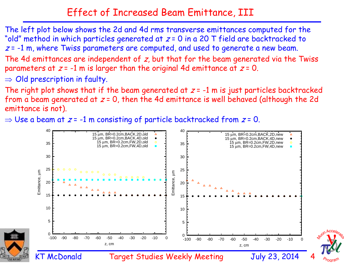## Effect of Increased Beam Emittance, III

The left plot below shows the 2d and 4d rms transverse emittances computed for the "old" method in which particles generated at  $z = 0$  in a 20 T field are backtracked to  $z = -1$  m, where Twiss parameters are computed, and used to generate a new beam. The 4d emittances are independent of  $z$ , but that for the beam generated via the Twiss parameters at  $z = -1$  m is larger than the original 4d emittance at  $z = 0$ .  $\Rightarrow$  Old prescription in faulty.

The right plot shows that if the beam generated at  $z = -1$  m is just particles backtracked from a beam generated at  $z = 0$ , then the 4d emittance is well behaved (although the 2d emittance is not).

 $\Rightarrow$  Use a beam at  $z$  = -1 m consisting of particle backtracked from  $z$  = 0.